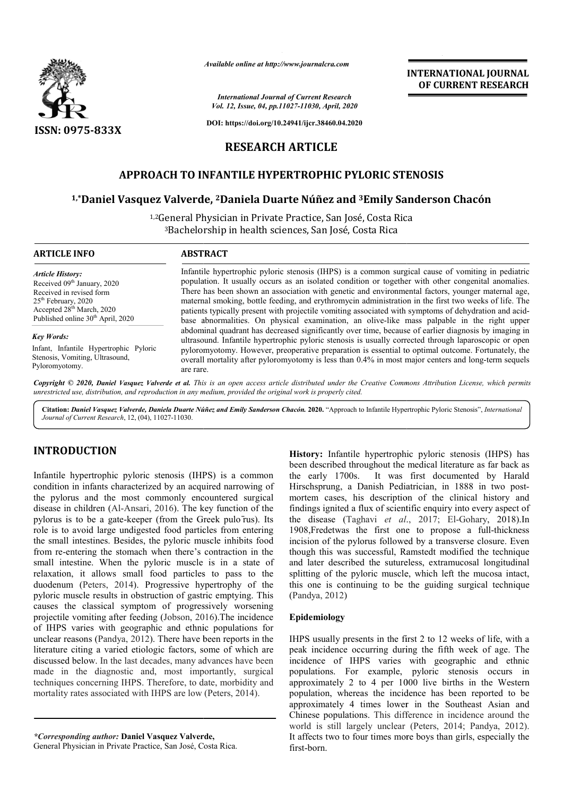

*Available online at http://www.journalcra.com*

*International Journal of Current Research Vol. 12, Issue, 04, pp.11027-11030, April, 2020*

**DOI: https://doi.org/10.24941/ijcr.38460.04.2020**

# **RESEARCH ARTICLE**

## **APPROACH TO INFANTILE HYPERTROPHIC PYLORIC STENOSIS**

### **1,\*Daniel Vasquez Valverde, Daniel 2Daniela Duarte Núñez and 3Emily Sanderson Chacón**

<sup>1,2</sup>General Physician in Private Practice, San José, Costa Rica<br><sup>3</sup>Bachelorship in health sciences, San José, Costa Rica 3Bachelorship in health sciences, San José, Costa Rica

| <b>ARTICLE INFO</b>                                                                                                                                                                                               | <b>ABSTRACT</b>                                                                                                                                                                                                                                                                                                                                                                                                                                                                                                                                                                                                                                                                                                                                                                                                                                                                                                                                                                                                                                                            |
|-------------------------------------------------------------------------------------------------------------------------------------------------------------------------------------------------------------------|----------------------------------------------------------------------------------------------------------------------------------------------------------------------------------------------------------------------------------------------------------------------------------------------------------------------------------------------------------------------------------------------------------------------------------------------------------------------------------------------------------------------------------------------------------------------------------------------------------------------------------------------------------------------------------------------------------------------------------------------------------------------------------------------------------------------------------------------------------------------------------------------------------------------------------------------------------------------------------------------------------------------------------------------------------------------------|
| <b>Article History:</b><br>Received 09 <sup>th</sup> January, 2020<br>Received in revised form<br>$25th$ February, 2020<br>Accepted 28 <sup>th</sup> March, 2020<br>Published online 30 <sup>th</sup> April, 2020 | Infantile hypertrophic pyloric stenosis (IHPS) is a common surgical cause of vomiting in pediatric<br>population. It usually occurs as an isolated condition or together with other congenital anomalies.<br>There has been shown an association with genetic and environmental factors, younger maternal age,<br>maternal smoking, bottle feeding, and erythromycin administration in the first two weeks of life. The<br>patients typically present with projectile vomiting associated with symptoms of dehydration and acid-<br>base abnormalities. On physical examination, an olive-like mass palpable in the right upper<br>abdominal quadrant has decreased significantly over time, because of earlier diagnosis by imaging in<br>ultrasound. Infantile hypertrophic pyloric stenosis is usually corrected through laparoscopic or open<br>pyloromyotomy. However, preoperative preparation is essential to optimal outcome. Fortunately, the<br>overall mortality after pyloromyotomy is less than 0.4% in most major centers and long-term sequels<br>are rare. |
| <b>Key Words:</b><br>Infant, Infantile Hypertrophic Pyloric<br>Stenosis, Vomiting, Ultrasound,<br>Pyloromyotomy.                                                                                                  |                                                                                                                                                                                                                                                                                                                                                                                                                                                                                                                                                                                                                                                                                                                                                                                                                                                                                                                                                                                                                                                                            |

Copyright © 2020, Daniel Vasquez Valverde et al. This is an open access article distributed under the Creative Commons Attribution License, which permits *unrestricted use, distribution, and reproduction in any medium, provided the original work is properly cited.*

Citation: Daniel Vasquez Valverde, Daniela Duarte Núñez and Emily Sanderson Chacón. 2020. "Approach to Infantile Hypertrophic Pyloric Stenosis", International *Journal of Current Research*, 12, (04), 11027-11030.

# **INTRODUCTION**

Infantile hypertrophic pyloric stenosis (IHPS) is a common condition in infants characterized by an acquired narrowing of the pylorus and the most commonly encountered surgical disease in children (Al-Ansari, 2016). The key function of the pylorus is to be a gate-keeper (from the Greek pulo rus). Its role is to avoid large undigested food particles from entering the small intestines. Besides, the pyloric muscle inhibits food from re-entering the stomach when there's contraction in the from re-entering the stomach when there's contraction in the small intestine. When the pyloric muscle is in a state of relaxation, it allows small food particles to pass to the duodenum (Peters, 2014). Progressive hypertrophy of the pyloric muscle results in obstruction of gastric emptying. This causes the classical symptom of progressively worsening duodenum (Peters, 2014). Progressive hypertrophy of the pyloric muscle results in obstruction of gastric emptying. This causes the classical symptom of progressively worsening projectile vomiting after feeding (Jobson, 201 of IHPS varies with geographic and ethnic populations for unclear reasons (Pandya, 2012). There have been reports in the literature citing a varied etiologic factors, some of which are discussed below. In the last decades, many advances have been made in the diagnostic and, most importantly, surgical techniques concerning IHPS. Therefore, to date, morbidity and mortality rates associated with IHPS are low (Peters, 2014). ). There have been reports in<br>ogic factors, some of which<br>cades, many advances have b<br>d, most importantly, surg<br>Therefore, to date, morbidity<br>IHPS are low (Peters, 2014).

*\*Corresponding author:* **Daniel Vasquez Valverde asquez Valverde,** General Physician in Private Practice, San José, Costa Rica Rica. **History:** Infantile hypertrophic pyloric stenosis (IHPS) has been described throughout the medical literature as far back as the early 1700s. It was first documented by Harald Hirschsprung, a Danish Pediatrician, in 1888 in two postmortem cases, his description of the clinical history and findings ignited a flux of scientific enquiry into every aspect of mortem cases, his description of the clinical history and findings ignited a flux of scientific enquiry into every aspect of the disease (Taghavi *et al.*, 2017; El-Gohary, 2018).In 1908, Fredetwas the first one to propose a full-thickness incision of the pylorus followed by a transverse closure. Even though this was successful, Ramstedt modified the technique and later described the sutureless, extramucosal longitudinal splitting of the pyloric muscle, which left the mucosa intact, this one is continuing to be the guiding surgical technique (Pandya, 2012) on of the pylorus followed by a transverse closure. Even<br>the this was successful, Ramstedt modified the technique<br>ater described the sutureless, extramucosal longitudinal<br>mg of the pyloric muscle, which left the mucosa int **INTERNATIONAL JOURNAL**<br> **OF CURRENT RESEARCH**<br> **OF CURRENT RESEARCH**<br> **OF CURRENT RESEARCH**<br> **OF CURRENT RESEARCH**<br>
TO together with other congential anomisation in the first two vecks of life. The convention in the first

**INTERNATIONAL JOURNAL OF CURRENT RESEARCH**

### **Epidemiology**

IHPS usually presents in the first 2 to 12 weeks of life, with a peak incidence occurring during the fifth week of age. incidence of IHPS varies with geographic and ethnic populations. For example, pyloric stenosis occurs in approximately 2 to 4 per 1000 live births in the Western population, whereas the incidence has been reported to be approximately 4 times lower in the Southeast Asian and Chinese populations. This difference in incidence around the Chinese populations. This difference in incidence around the world is still largely unclear (Peters, 2014; Pandya, 2012). It affects two to four times more boys than girls, especially the first-born. For example, pyloric stenosis occurs in<br>2 to 4 per 1000 live births in the Western<br>ereas the incidence has been reported to be<br>4 times lower in the Southeast Asian and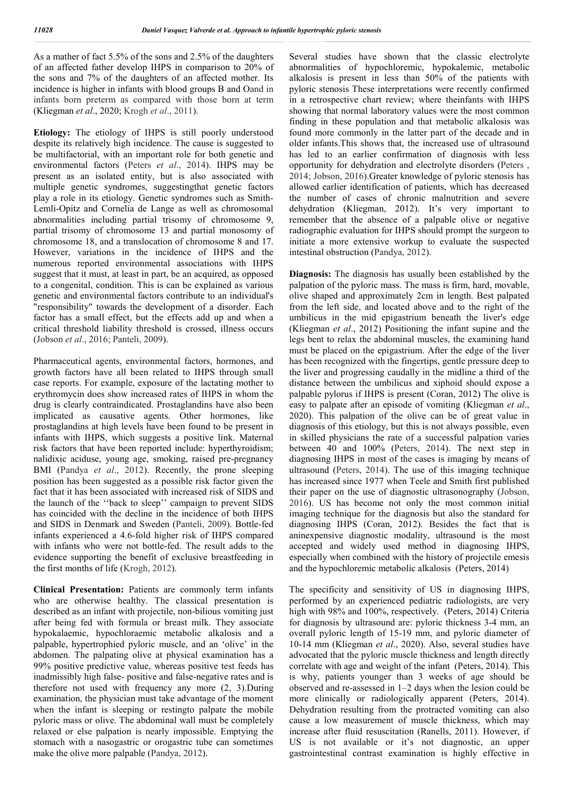As a mather of fact 5.5% of the sons and 2.5% of the daughters of an affected father develop IHPS in comparison to 20% of the sons and 7% of the daughters of an affected mother. Its incidence is higher in infants with blood groups B and Oand in infants born preterm as compared with those born at term (Kliegman *et al*., 2020; Krogh *et al*., 2011).

**Etiology:** The etiology of IHPS is still poorly understood despite its relatively high incidence. The cause is suggested to be multifactorial, with an important role for both genetic and environmental factors (Peters *et al*., 2014). IHPS may be present as an isolated entity, but is also associated with multiple genetic syndromes, suggestingthat genetic factors play a role in its etiology. Genetic syndromes such as Smith-Lemli-Opitz and Cornelia de Lange as well as chromosomal abnormalities including partial trisomy of chromosome 9, partial trisomy of chromosome 13 and partial monosomy of chromosome 18, and a translocation of chromosome 8 and 17. However, variations in the incidence of IHPS and the numerous reported environmental associations with IHPS suggest that it must, at least in part, be an acquired, as opposed to a congenital, condition. This is can be explained as various genetic and environmental factors contribute to an individual's "responsibility" towards the development of a disorder. Each factor has a small effect, but the effects add up and when a critical threshold liability threshold is crossed, illness occurs (Jobson *et al*., 2016; Panteli, 2009).

Pharmaceutical agents, environmental factors, hormones, and growth factors have all been related to IHPS through small case reports. For example, exposure of the lactating mother to erythromycin does show increased rates of IHPS in whom the drug is clearly contraindicated. Prostaglandins have also been implicated as causative agents. Other hormones, like prostaglandins at high levels have been found to be present in infants with IHPS, which suggests a positive link. Maternal risk factors that have been reported include: hyperthyroidism; nalidixic aciduse, young age, smoking, raised pre-pregnancy BMI (Pandya *et al*., 2012). Recently, the prone sleeping position has been suggested as a possible risk factor given the fact that it has been associated with increased risk of SIDS and the launch of the ''back to sleep'' campaign to prevent SIDS has coincided with the decline in the incidence of both IHPS and SIDS in Denmark and Sweden (Panteli, 2009). Bottle-fed infants experienced a 4.6-fold higher risk of IHPS compared with infants who were not bottle-fed. The result adds to the evidence supporting the benefit of exclusive breastfeeding in the first months of life (Krogh, 2012).

**Clinical Presentation:** Patients are commonly term infants who are otherwise healthy. The classical presentation is described as an infant with projectile, non-bilious vomiting just after being fed with formula or breast milk. They associate hypokalaemic, hypochloraemic metabolic alkalosis and a palpable, hypertrophied pyloric muscle, and an 'olive' in the abdomen. The palpating olive at physical examination has a 99% positive predictive value, whereas positive test feeds has inadmissibly high false- positive and false-negative rates and is therefore not used with frequency any more (2, 3).During examination, the physician must take advantage of the moment when the infant is sleeping or restingto palpate the mobile pyloric mass or olive. The abdominal wall must be completely relaxed or else palpation is nearly impossible. Emptying the stomach with a nasogastric or orogastric tube can sometimes make the olive more palpable (Pandya, 2012).

Several studies have shown that the classic electrolyte abnormalities of hypochloremic, hypokalemic, metabolic alkalosis is present in less than 50% of the patients with pyloric stenosis These interpretations were recently confirmed in a retrospective chart review; where theinfants with IHPS showing that normal laboratory values were the most common finding in these population and that metabolic alkalosis was found more commonly in the latter part of the decade and in older infants.This shows that, the increased use of ultrasound has led to an earlier confirmation of diagnosis with less opportunity for dehydration and electrolyte disorders (Peters , 2014; Jobson, 2016).Greater knowledge of pyloric stenosis has allowed earlier identification of patients, which has decreased the number of cases of chronic malnutrition and severe dehydration (Kliegman, 2012). It's very important to remember that the absence of a palpable olive or negative radiographic evaluation for IHPS should prompt the surgeon to initiate a more extensive workup to evaluate the suspected intestinal obstruction (Pandya, 2012).

**Diagnosis:** The diagnosis has usually been established by the palpation of the pyloric mass. The mass is firm, hard, movable, olive shaped and approximately 2cm in length. Best palpated from the left side, and located above and to the right of the umbilicus in the mid epigastrium beneath the liver's edge (Kliegman *et al*., 2012) Positioning the infant supine and the legs bent to relax the abdominal muscles, the examining hand must be placed on the epigastrium. After the edge of the liver has been recognized with the fingertips, gentle pressure deep to the liver and progressing caudally in the midline a third of the distance between the umbilicus and xiphoid should expose a palpable pylorus if IHPS is present (Coran, 2012) The olive is easy to palpate after an episode of vomiting (Kliegman *et al*., 2020). This palpation of the olive can be of great value in diagnosis of this etiology, but this is not always possible, even in skilled physicians the rate of a successful palpation varies between 40 and 100% (Peters, 2014). The next step in diagnosing IHPS in most of the cases is imaging by means of ultrasound (Peters, 2014). The use of this imaging technique has increased since 1977 when Teele and Smith first published their paper on the use of diagnostic ultrasonography (Jobson, 2016). US has become not only the most common initial imaging technique for the diagnosis but also the standard for diagnosing IHPS (Coran, 2012). Besides the fact that is aninexpensive diagnostic modality, ultrasound is the most accepted and widely used method in diagnosing IHPS, especially when combined with the history of projectile emesis and the hypochloremic metabolic alkalosis (Peters, 2014)

The specificity and sensitivity of US in diagnosing IHPS, performed by an experienced pediatric radiologists, are very high with 98% and 100%, respectively. (Peters, 2014) Criteria for diagnosis by ultrasound are: pyloric thickness 3-4 mm, an overall pyloric length of 15-19 mm, and pyloric diameter of 10-14 mm (Kliegman *et al*., 2020). Also, several studies have advocated that the pyloric muscle thickness and length directly correlate with age and weight of the infant (Peters, 2014). This is why, patients younger than 3 weeks of age should be observed and re-assessed in 1–2 days when the lesion could be more clinically or radiologically apparent (Peters, 2014). Dehydration resulting from the protracted vomiting can also cause a low measurement of muscle thickness, which may increase after fluid resuscitation (Ranells, 2011). However, if US is not available or it's not diagnostic, an upper gastrointestinal contrast examination is highly effective in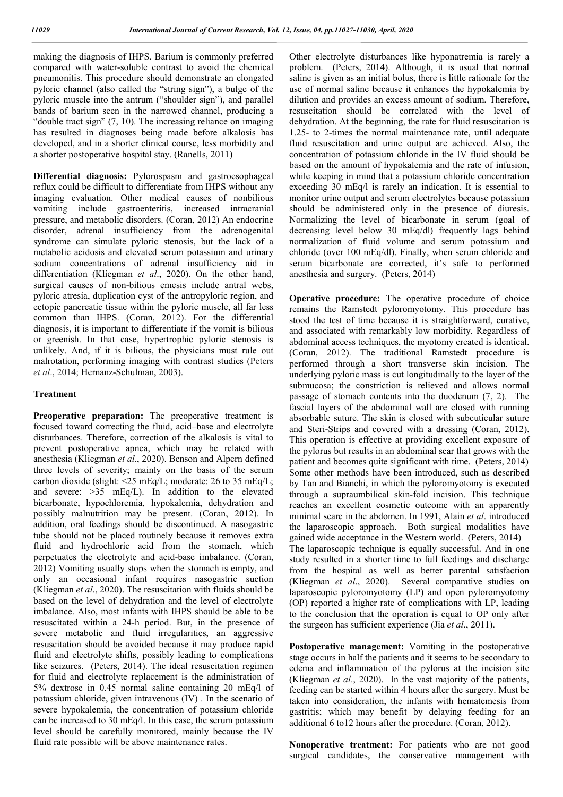making the diagnosis of IHPS. Barium is commonly preferred compared with water-soluble contrast to avoid the chemical pneumonitis. This procedure should demonstrate an elongated pyloric channel (also called the "string sign"), a bulge of the pyloric muscle into the antrum ("shoulder sign"), and parallel bands of barium seen in the narrowed channel, producing a "double tract sign" (7, 10). The increasing reliance on imaging has resulted in diagnoses being made before alkalosis has developed, and in a shorter clinical course, less morbidity and a shorter postoperative hospital stay. (Ranells, 2011)

**Differential diagnosis:** Pylorospasm and gastroesophageal reflux could be difficult to differentiate from IHPS without any imaging evaluation. Other medical causes of nonbilious vomiting include gastroenteritis, increased intracranial pressure, and metabolic disorders. (Coran, 2012) An endocrine disorder, adrenal insufficiency from the adrenogenital syndrome can simulate pyloric stenosis, but the lack of a metabolic acidosis and elevated serum potassium and urinary sodium concentrations of adrenal insufficiency aid in differentiation (Kliegman *et al*., 2020). On the other hand, surgical causes of non-bilious emesis include antral webs, pyloric atresia, duplication cyst of the antropyloric region, and ectopic pancreatic tissue within the pyloric muscle, all far less common than IHPS. (Coran, 2012). For the differential diagnosis, it is important to differentiate if the vomit is bilious or greenish. In that case, hypertrophic pyloric stenosis is unlikely. And, if it is bilious, the physicians must rule out malrotation, performing imaging with contrast studies (Peters *et al*., 2014; Hernanz-Schulman, 2003).

#### **Treatment**

**Preoperative preparation:** The preoperative treatment is focused toward correcting the fluid, acid–base and electrolyte disturbances. Therefore, correction of the alkalosis is vital to prevent postoperative apnea, which may be related with anesthesia (Kliegman *et al*., 2020). Benson and Alpern defined three levels of severity; mainly on the basis of the serum carbon dioxide (slight: <25 mEq/L; moderate: 26 to 35 mEq/L; and severe:  $>35$  mEq/L). In addition to the elevated bicarbonate, hypochloremia, hypokalemia, dehydration and possibly malnutrition may be present. (Coran, 2012). In addition, oral feedings should be discontinued. A nasogastric tube should not be placed routinely because it removes extra fluid and hydrochloric acid from the stomach, which perpetuates the electrolyte and acid-base imbalance. (Coran, 2012) Vomiting usually stops when the stomach is empty, and only an occasional infant requires nasogastric suction (Kliegman *et al*., 2020). The resuscitation with fluids should be based on the level of dehydration and the level of electrolyte imbalance. Also, most infants with IHPS should be able to be resuscitated within a 24-h period. But, in the presence of severe metabolic and fluid irregularities, an aggressive resuscitation should be avoided because it may produce rapid fluid and electrolyte shifts, possibly leading to complications like seizures. (Peters, 2014). The ideal resuscitation regimen for fluid and electrolyte replacement is the administration of 5% dextrose in 0.45 normal saline containing 20 mEq/l of potassium chloride, given intravenous (IV) . In the scenario of severe hypokalemia, the concentration of potassium chloride can be increased to 30 mEq/l. In this case, the serum potassium level should be carefully monitored, mainly because the IV fluid rate possible will be above maintenance rates.

Other electrolyte disturbances like hyponatremia is rarely a problem. (Peters, 2014). Although, it is usual that normal saline is given as an initial bolus, there is little rationale for the use of normal saline because it enhances the hypokalemia by dilution and provides an excess amount of sodium. Therefore, resuscitation should be correlated with the level of dehydration. At the beginning, the rate for fluid resuscitation is 1.25- to 2-times the normal maintenance rate, until adequate fluid resuscitation and urine output are achieved. Also, the concentration of potassium chloride in the IV fluid should be based on the amount of hypokalemia and the rate of infusion, while keeping in mind that a potassium chloride concentration exceeding 30 mEq/l is rarely an indication. It is essential to monitor urine output and serum electrolytes because potassium should be administered only in the presence of diuresis. Normalizing the level of bicarbonate in serum (goal of decreasing level below 30 mEq/dl) frequently lags behind normalization of fluid volume and serum potassium and chloride (over 100 mEq/dl). Finally, when serum chloride and serum bicarbonate are corrected, it's safe to performed anesthesia and surgery. (Peters, 2014)

**Operative procedure:** The operative procedure of choice remains the Ramstedt pyloromyotomy. This procedure has stood the test of time because it is straightforward, curative, and associated with remarkably low morbidity. Regardless of abdominal access techniques, the myotomy created is identical. (Coran, 2012). The traditional Ramstedt procedure is performed through a short transverse skin incision. The underlying pyloric mass is cut longitudinally to the layer of the submucosa; the constriction is relieved and allows normal passage of stomach contents into the duodenum (7, 2). The fascial layers of the abdominal wall are closed with running absorbable suture. The skin is closed with subcuticular suture and Steri-Strips and covered with a dressing (Coran, 2012). This operation is effective at providing excellent exposure of the pylorus but results in an abdominal scar that grows with the patient and becomes quite significant with time. (Peters, 2014) Some other methods have been introduced, such as described by Tan and Bianchi, in which the pyloromyotomy is executed through a supraumbilical skin-fold incision. This technique reaches an excellent cosmetic outcome with an apparently minimal scare in the abdomen. In 1991, Alain *et al*. introduced the laparoscopic approach. Both surgical modalities have gained wide acceptance in the Western world. (Peters, 2014) The laparoscopic technique is equally successful. And in one study resulted in a shorter time to full feedings and discharge from the hospital as well as better parental satisfaction (Kliegman *et al*., 2020). Several comparative studies on laparoscopic pyloromyotomy (LP) and open pyloromyotomy (OP) reported a higher rate of complications with LP, leading to the conclusion that the operation is equal to OP only after the surgeon has sufficient experience (Jia *et al*., 2011).

Postoperative management: Vomiting in the postoperative stage occurs in half the patients and it seems to be secondary to edema and inflammation of the pylorus at the incision site (Kliegman *et al*., 2020). In the vast majority of the patients, feeding can be started within 4 hours after the surgery. Must be taken into consideration, the infants with hematemesis from gastritis; which may benefit by delaying feeding for an additional 6 to12 hours after the procedure. (Coran, 2012).

**Nonoperative treatment:** For patients who are not good surgical candidates, the conservative management with